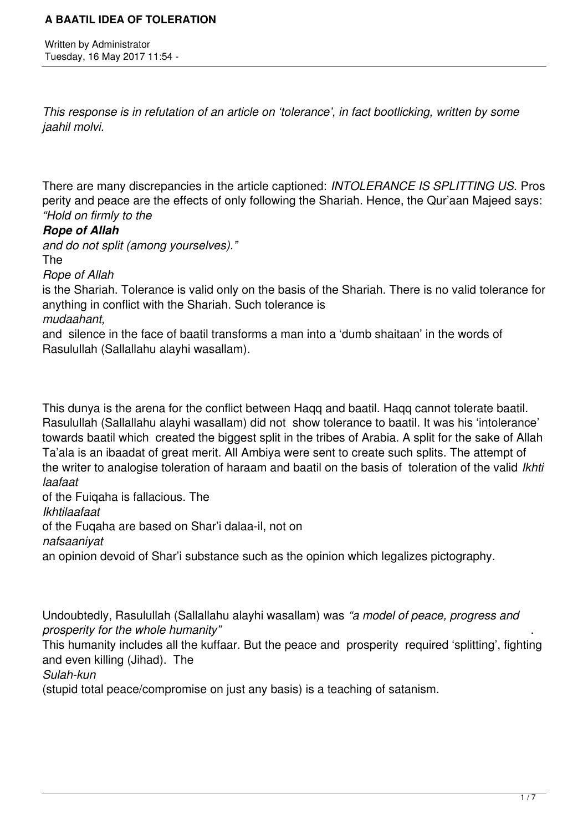Written by Administrator Tuesday, 16 May 2017 11:54 -

*This response is in refutation of an article on 'tolerance', in fact bootlicking, written by some jaahil molvi.*

There are many discrepancies in the article captioned: *INTOLERANCE IS SPLITTING US.* Pros perity and peace are the effects of only following the Shariah. Hence, the Qur'aan Majeed says: *"Hold on firmly to the* 

#### *Rope of Allah*

*and do not split (among yourselves)."* 

The

*Rope of Allah*

is the Shariah. Tolerance is valid only on the basis of the Shariah. There is no valid tolerance for anything in conflict with the Shariah. Such tolerance is

*mudaahant,*

and silence in the face of baatil transforms a man into a 'dumb shaitaan' in the words of Rasulullah (Sallallahu alayhi wasallam).

This dunya is the arena for the conflict between Haqq and baatil. Haqq cannot tolerate baatil. Rasulullah (Sallallahu alayhi wasallam) did not show tolerance to baatil. It was his 'intolerance' towards baatil which created the biggest split in the tribes of Arabia. A split for the sake of Allah Ta'ala is an ibaadat of great merit. All Ambiya were sent to create such splits. The attempt of the writer to analogise toleration of haraam and baatil on the basis of toleration of the valid *Ikhti laafaat*

of the Fuiqaha is fallacious. The *Ikhtilaafaat*  of the Fuqaha are based on Shar'i dalaa-il, not on *nafsaaniyat* an opinion devoid of Shar'i substance such as the opinion which legalizes pictography.

Undoubtedly, Rasulullah (Sallallahu alayhi wasallam) was *"a model of peace, progress and prosperity for the whole humanity"* .

This humanity includes all the kuffaar. But the peace and prosperity required 'splitting', fighting and even killing (Jihad). The

*Sulah-kun* 

(stupid total peace/compromise on just any basis) is a teaching of satanism.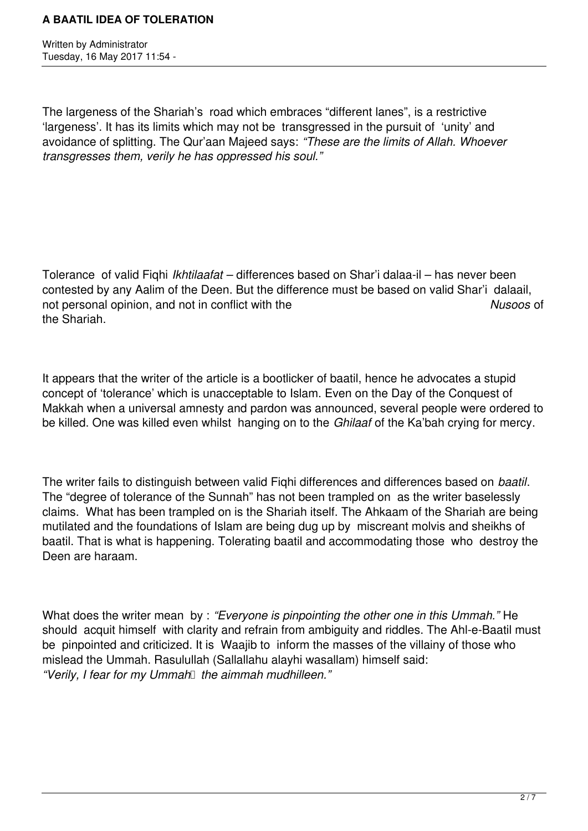Written by Administrator Tuesday, 16 May 2017 11:54 -

The largeness of the Shariah's road which embraces "different lanes", is a restrictive 'largeness'. It has its limits which may not be transgressed in the pursuit of 'unity' and avoidance of splitting. The Qur'aan Majeed says: *"These are the limits of Allah. Whoever transgresses them, verily he has oppressed his soul."*

Tolerance of valid Fiqhi *Ikhtilaafat –* differences based on Shar'i dalaa-il – has never been contested by any Aalim of the Deen. But the difference must be based on valid Shar'i dalaail, not personal opinion, and not in conflict with the *Nusoos* of the Shariah.

It appears that the writer of the article is a bootlicker of baatil, hence he advocates a stupid concept of 'tolerance' which is unacceptable to Islam. Even on the Day of the Conquest of Makkah when a universal amnesty and pardon was announced, several people were ordered to be killed. One was killed even whilst hanging on to the *Ghilaaf* of the Ka'bah crying for mercy.

The writer fails to distinguish between valid Fiqhi differences and differences based on *baatil*. The "degree of tolerance of the Sunnah" has not been trampled on as the writer baselessly claims. What has been trampled on is the Shariah itself. The Ahkaam of the Shariah are being mutilated and the foundations of Islam are being dug up by miscreant molvis and sheikhs of baatil. That is what is happening. Tolerating baatil and accommodating those who destroy the Deen are haraam.

What does the writer mean by : *"Everyone is pinpointing the other one in this Ummah."* He should acquit himself with clarity and refrain from ambiguity and riddles. The Ahl-e-Baatil must be pinpointed and criticized. It is Waajib to inform the masses of the villainy of those who mislead the Ummah. Rasulullah (Sallallahu alayhi wasallam) himself said: *"Verily, I fear for my Ummah* the aimmah mudhilleen."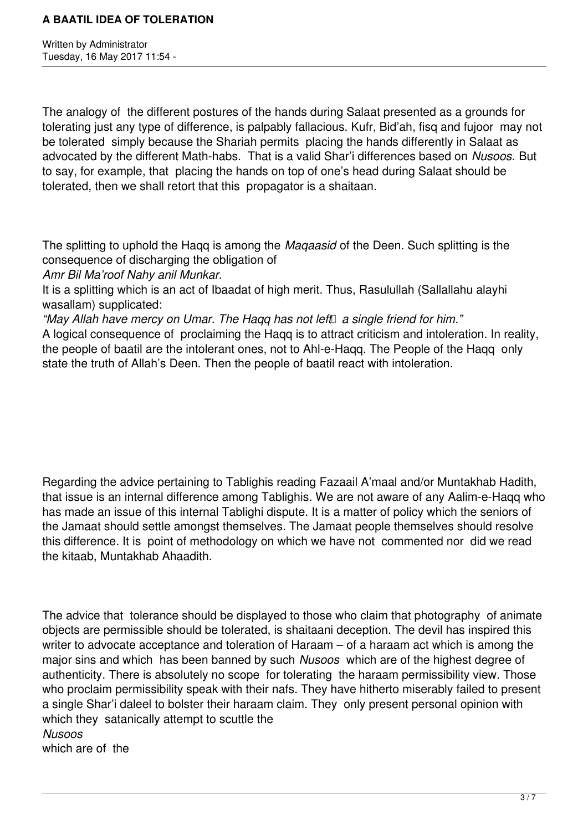Written by Administrator Tuesday, 16 May 2017 11:54 -

The analogy of the different postures of the hands during Salaat presented as a grounds for tolerating just any type of difference, is palpably fallacious. Kufr, Bid'ah, fisq and fujoor may not be tolerated simply because the Shariah permits placing the hands differently in Salaat as advocated by the different Math-habs. That is a valid Shar'i differences based on *Nusoos.* But to say, for example, that placing the hands on top of one's head during Salaat should be tolerated, then we shall retort that this propagator is a shaitaan.

The splitting to uphold the Haqq is among the *Maqaasid* of the Deen. Such splitting is the consequence of discharging the obligation of

*Amr Bil Ma'roof Nahy anil Munkar.*

It is a splitting which is an act of Ibaadat of high merit. Thus, Rasulullah (Sallallahu alayhi wasallam) supplicated:

"May Allah have mercy on Umar. The Haqq has not left a single friend for him."

A logical consequence of proclaiming the Haqq is to attract criticism and intoleration. In reality, the people of baatil are the intolerant ones, not to Ahl-e-Haqq. The People of the Haqq only state the truth of Allah's Deen. Then the people of baatil react with intoleration.

Regarding the advice pertaining to Tablighis reading Fazaail A'maal and/or Muntakhab Hadith, that issue is an internal difference among Tablighis. We are not aware of any Aalim-e-Haqq who has made an issue of this internal Tablighi dispute. It is a matter of policy which the seniors of the Jamaat should settle amongst themselves. The Jamaat people themselves should resolve this difference. It is point of methodology on which we have not commented nor did we read the kitaab, Muntakhab Ahaadith.

The advice that tolerance should be displayed to those who claim that photography of animate objects are permissible should be tolerated, is shaitaani deception. The devil has inspired this writer to advocate acceptance and toleration of Haraam – of a haraam act which is among the major sins and which has been banned by such *Nusoos* which are of the highest degree of authenticity. There is absolutely no scope for tolerating the haraam permissibility view. Those who proclaim permissibility speak with their nafs. They have hitherto miserably failed to present a single Shar'i daleel to bolster their haraam claim. They only present personal opinion with which they satanically attempt to scuttle the *Nusoos* which are of the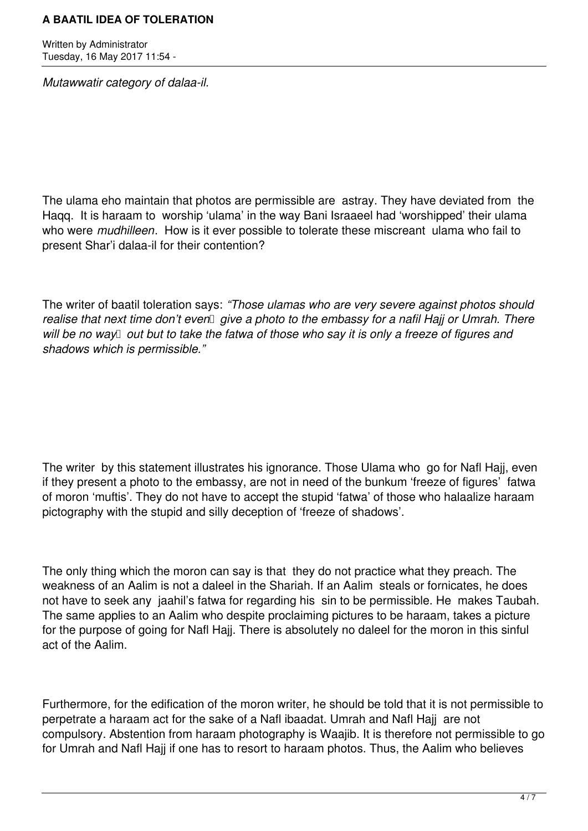Written by Administrator Tuesday, 16 May 2017 11:54 -

*Mutawwatir category of dalaa-il.*

The ulama eho maintain that photos are permissible are astray. They have deviated from the Haqq. It is haraam to worship 'ulama' in the way Bani Israaeel had 'worshipped' their ulama who were *mudhilleen*. How is it ever possible to tolerate these miscreant ulama who fail to present Shar'i dalaa-il for their contention?

The writer of baatil toleration says: *"Those ulamas who are very severe against photos should* realise that next time don't even *give a photo to the embassy for a nafil Hajj or Umrah. There* will be no way<sup> $\Box$ </sup> out but to take the fatwa of those who say it is only a freeze of figures and *shadows which is permissible."*

The writer by this statement illustrates his ignorance. Those Ulama who go for Nafl Hajj, even if they present a photo to the embassy, are not in need of the bunkum 'freeze of figures' fatwa of moron 'muftis'. They do not have to accept the stupid 'fatwa' of those who halaalize haraam pictography with the stupid and silly deception of 'freeze of shadows'.

The only thing which the moron can say is that they do not practice what they preach. The weakness of an Aalim is not a daleel in the Shariah. If an Aalim steals or fornicates, he does not have to seek any jaahil's fatwa for regarding his sin to be permissible. He makes Taubah. The same applies to an Aalim who despite proclaiming pictures to be haraam, takes a picture for the purpose of going for Nafl Hajj. There is absolutely no daleel for the moron in this sinful act of the Aalim.

Furthermore, for the edification of the moron writer, he should be told that it is not permissible to perpetrate a haraam act for the sake of a Nafl ibaadat. Umrah and Nafl Hajj are not compulsory. Abstention from haraam photography is Waajib. It is therefore not permissible to go for Umrah and Nafl Hajj if one has to resort to haraam photos. Thus, the Aalim who believes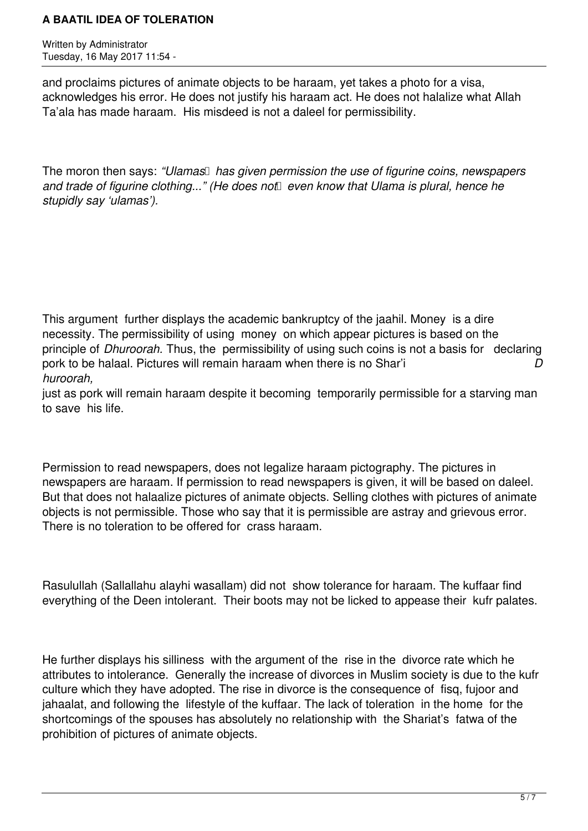Written by Administrator Tuesday, 16 May 2017 11:54 -

and proclaims pictures of animate objects to be haraam, yet takes a photo for a visa, acknowledges his error. He does not justify his haraam act. He does not halalize what Allah Ta'ala has made haraam. His misdeed is not a daleel for permissibility.

The moron then says: *"Ulamas* has given permission the use of figurine coins, newspapers and trade of figurine clothing..." (He does not *even know that Ulama is plural, hence he stupidly say 'ulamas').*

This argument further displays the academic bankruptcy of the jaahil. Money is a dire necessity. The permissibility of using money on which appear pictures is based on the principle of *Dhuroorah.* Thus, the permissibility of using such coins is not a basis for declaring pork to be halaal. Pictures will remain haraam when there is no Shar'i *D huroorah,* 

just as pork will remain haraam despite it becoming temporarily permissible for a starving man to save his life.

Permission to read newspapers, does not legalize haraam pictography. The pictures in newspapers are haraam. If permission to read newspapers is given, it will be based on daleel. But that does not halaalize pictures of animate objects. Selling clothes with pictures of animate objects is not permissible. Those who say that it is permissible are astray and grievous error. There is no toleration to be offered for crass haraam.

Rasulullah (Sallallahu alayhi wasallam) did not show tolerance for haraam. The kuffaar find everything of the Deen intolerant. Their boots may not be licked to appease their kufr palates.

He further displays his silliness with the argument of the rise in the divorce rate which he attributes to intolerance. Generally the increase of divorces in Muslim society is due to the kufr culture which they have adopted. The rise in divorce is the consequence of fisq, fujoor and jahaalat, and following the lifestyle of the kuffaar. The lack of toleration in the home for the shortcomings of the spouses has absolutely no relationship with the Shariat's fatwa of the prohibition of pictures of animate objects.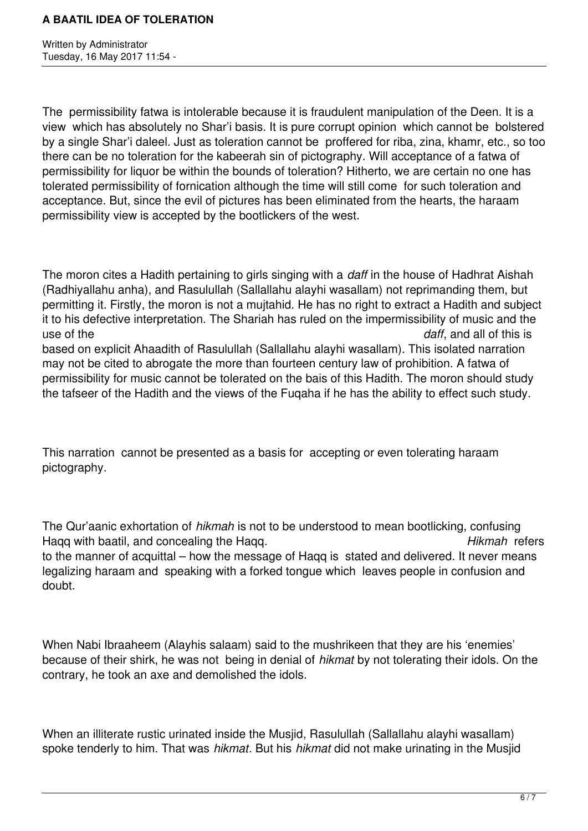Written by Administrator Tuesday, 16 May 2017 11:54 -

The permissibility fatwa is intolerable because it is fraudulent manipulation of the Deen. It is a view which has absolutely no Shar'i basis. It is pure corrupt opinion which cannot be bolstered by a single Shar'i daleel. Just as toleration cannot be proffered for riba, zina, khamr, etc., so too there can be no toleration for the kabeerah sin of pictography. Will acceptance of a fatwa of permissibility for liquor be within the bounds of toleration? Hitherto, we are certain no one has tolerated permissibility of fornication although the time will still come for such toleration and acceptance. But, since the evil of pictures has been eliminated from the hearts, the haraam permissibility view is accepted by the bootlickers of the west.

The moron cites a Hadith pertaining to girls singing with a *daff* in the house of Hadhrat Aishah (Radhiyallahu anha), and Rasulullah (Sallallahu alayhi wasallam) not reprimanding them, but permitting it. Firstly, the moron is not a mujtahid. He has no right to extract a Hadith and subject it to his defective interpretation. The Shariah has ruled on the impermissibility of music and the use of the *daff*, and all of this is based on explicit Ahaadith of Rasulullah (Sallallahu alayhi wasallam). This isolated narration may not be cited to abrogate the more than fourteen century law of prohibition. A fatwa of permissibility for music cannot be tolerated on the bais of this Hadith. The moron should study the tafseer of the Hadith and the views of the Fuqaha if he has the ability to effect such study.

This narration cannot be presented as a basis for accepting or even tolerating haraam pictography.

The Qur'aanic exhortation of *hikmah* is not to be understood to mean bootlicking, confusing Haqq with baatil, and concealing the Haqq. *Hikmah* refers to the manner of acquittal – how the message of Haqq is stated and delivered. It never means legalizing haraam and speaking with a forked tongue which leaves people in confusion and doubt.

When Nabi Ibraaheem (Alayhis salaam) said to the mushrikeen that they are his 'enemies' because of their shirk, he was not being in denial of *hikmat* by not tolerating their idols. On the contrary, he took an axe and demolished the idols.

When an illiterate rustic urinated inside the Musjid, Rasulullah (Sallallahu alayhi wasallam) spoke tenderly to him. That was *hikmat*. But his *hikmat* did not make urinating in the Musjid